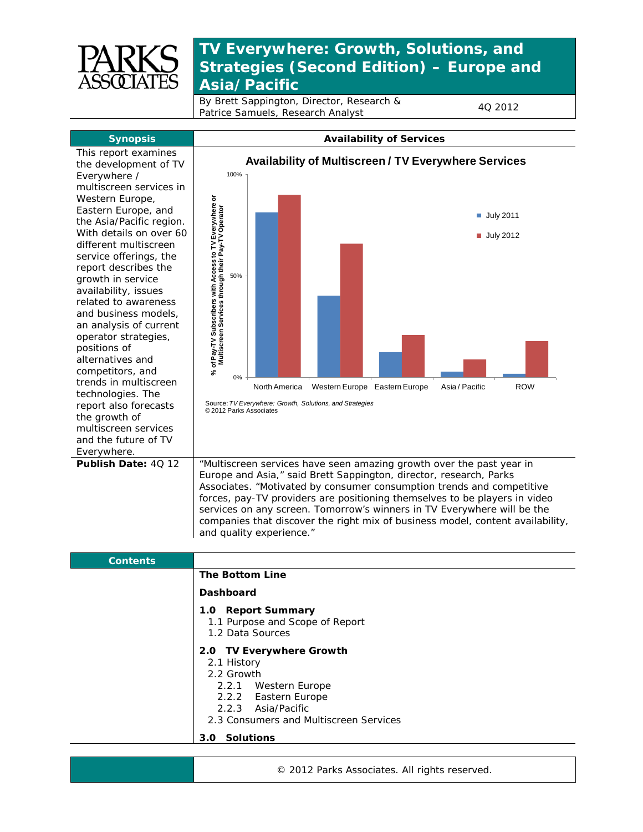

## **TV Everywhere: Growth, Solutions, and Strategies (Second Edition) –** *Europe and Asia/Pacific*

By Brett Sappington, Director, Research & By Brett Sappington, Director, Research & 4Q 2012<br>Patrice Samuels, Research Analyst

| <b>Synopsis</b>                                                                                                                                                                                                                                                                                                                                                   | <b>Availability of Services</b>                                                                                                                                                                                                                                                                                                                                                                                                                                                            |
|-------------------------------------------------------------------------------------------------------------------------------------------------------------------------------------------------------------------------------------------------------------------------------------------------------------------------------------------------------------------|--------------------------------------------------------------------------------------------------------------------------------------------------------------------------------------------------------------------------------------------------------------------------------------------------------------------------------------------------------------------------------------------------------------------------------------------------------------------------------------------|
| This report examines<br>the development of TV<br>Everywhere /<br>multiscreen services in<br>Western Europe,<br>Eastern Europe, and<br>the Asia/Pacific region.<br>With details on over 60<br>different multiscreen<br>service offerings, the<br>report describes the<br>growth in service<br>availability, issues<br>related to awareness<br>and business models, | <b>Availability of Multiscreen / TV Everywhere Services</b><br>100%<br>% of Pay-TV Subscribers with Access to TV Everywhere or<br>Multiscreen Services through their Pay-TV Operator<br><b>July 2011</b><br><b>July 2012</b><br>50%                                                                                                                                                                                                                                                        |
| an analysis of current<br>operator strategies,<br>positions of<br>alternatives and<br>competitors, and<br>trends in multiscreen<br>technologies. The<br>report also forecasts<br>the growth of<br>multiscreen services<br>and the future of TV<br>Everywhere.                                                                                                     | 0%<br><b>ROW</b><br>Western Europe Eastern Europe<br>Asia / Pacific<br>North America<br>Source: TV Everywhere: Growth, Solutions, and Strategies<br>© 2012 Parks Associates                                                                                                                                                                                                                                                                                                                |
| Publish Date: 40 12                                                                                                                                                                                                                                                                                                                                               | "Multiscreen services have seen amazing growth over the past year in<br>Europe and Asia," said Brett Sappington, director, research, Parks<br>Associates. "Motivated by consumer consumption trends and competitive<br>forces, pay-TV providers are positioning themselves to be players in video<br>services on any screen. Tomorrow's winners in TV Everywhere will be the<br>companies that discover the right mix of business model, content availability,<br>and quality experience." |
| <b>Contents</b>                                                                                                                                                                                                                                                                                                                                                   |                                                                                                                                                                                                                                                                                                                                                                                                                                                                                            |
|                                                                                                                                                                                                                                                                                                                                                                   | <b>The Bottom Line</b>                                                                                                                                                                                                                                                                                                                                                                                                                                                                     |
|                                                                                                                                                                                                                                                                                                                                                                   | Dashboard                                                                                                                                                                                                                                                                                                                                                                                                                                                                                  |
|                                                                                                                                                                                                                                                                                                                                                                   | 1.0 Report Summary<br>1.1 Purpose and Scope of Report<br>1.2 Data Sources                                                                                                                                                                                                                                                                                                                                                                                                                  |
|                                                                                                                                                                                                                                                                                                                                                                   | 2.0 TV Everywhere Growth<br>2.1 History<br>2.2 Growth<br>2.2.1 Western Europe                                                                                                                                                                                                                                                                                                                                                                                                              |

- 2.2.2 Eastern Europe
- 2.2.3 Asia/Pacific
- 2.3 Consumers and Multiscreen Services

## **3.0 Solutions**

© 2012 Parks Associates. All rights reserved.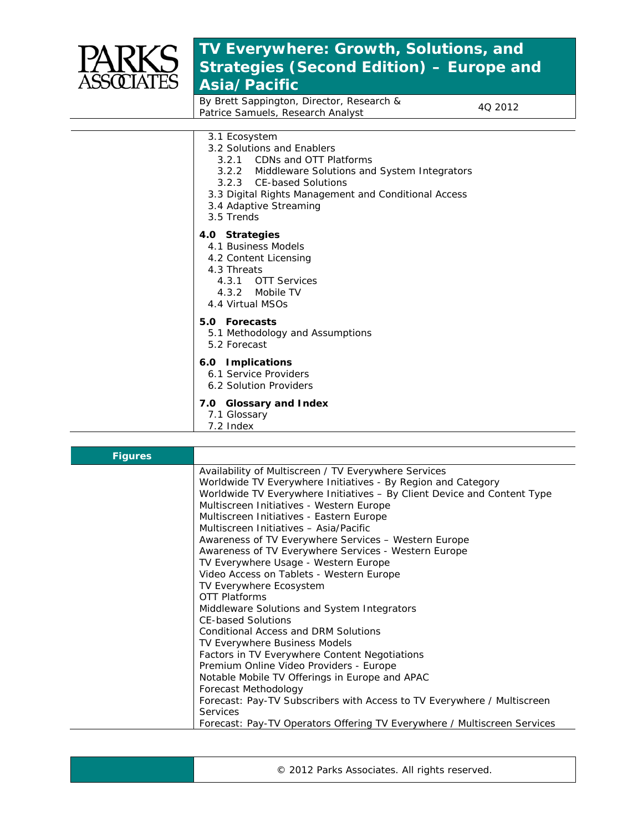

## **TV Everywhere: Growth, Solutions, and Strategies (Second Edition) –** *Europe and Asia/Pacific*

By Brett Sappington, Director, Research & Patrice Samuels, Research Analyst 4Q 2012

| 3.1 Ecosystem<br>3.2 Solutions and Enablers<br>3.2.1 CDNs and OTT Platforms<br>3.2.2 Middleware Solutions and System Integrators<br>3.2.3 CE-based Solutions<br>3.3 Digital Rights Management and Conditional Access<br>3.4 Adaptive Streaming<br>3.5 Trends |
|--------------------------------------------------------------------------------------------------------------------------------------------------------------------------------------------------------------------------------------------------------------|
| 4.0 Strategies<br>4.1 Business Models<br>4.2 Content Licensing<br>4.3 Threats<br>4.3.1 OTT Services<br>4.3.2 Mobile TV<br>4.4 Virtual MSOs                                                                                                                   |
| 5.0 Forecasts<br>5.1 Methodology and Assumptions<br>5.2 Forecast                                                                                                                                                                                             |
| 6.0 Implications<br>6.1 Service Providers<br>6.2 Solution Providers                                                                                                                                                                                          |
| 7.0 Glossary and Index<br>7.1 Glossary<br>7.2 Index                                                                                                                                                                                                          |
|                                                                                                                                                                                                                                                              |

| <b>Figures</b> |                                                                          |
|----------------|--------------------------------------------------------------------------|
|                | Availability of Multiscreen / TV Everywhere Services                     |
|                | Worldwide TV Everywhere Initiatives - By Region and Category             |
|                | Worldwide TV Everywhere Initiatives - By Client Device and Content Type  |
|                | Multiscreen Initiatives - Western Europe                                 |
|                | Multiscreen Initiatives - Eastern Europe                                 |
|                | Multiscreen Initiatives - Asia/Pacific                                   |
|                | Awareness of TV Everywhere Services - Western Europe                     |
|                | Awareness of TV Everywhere Services - Western Europe                     |
|                | TV Everywhere Usage - Western Europe                                     |
|                | Video Access on Tablets - Western Europe                                 |
|                | TV Everywhere Ecosystem                                                  |
|                | OTT Platforms                                                            |
|                | Middleware Solutions and System Integrators                              |
|                | CE-based Solutions                                                       |
|                | Conditional Access and DRM Solutions                                     |
|                | TV Everywhere Business Models                                            |
|                | Factors in TV Everywhere Content Negotiations                            |
|                | Premium Online Video Providers - Europe                                  |
|                | Notable Mobile TV Offerings in Europe and APAC                           |
|                | Forecast Methodology                                                     |
|                | Forecast: Pay-TV Subscribers with Access to TV Everywhere / Multiscreen  |
|                | <b>Services</b>                                                          |
|                | Forecast: Pay-TV Operators Offering TV Everywhere / Multiscreen Services |